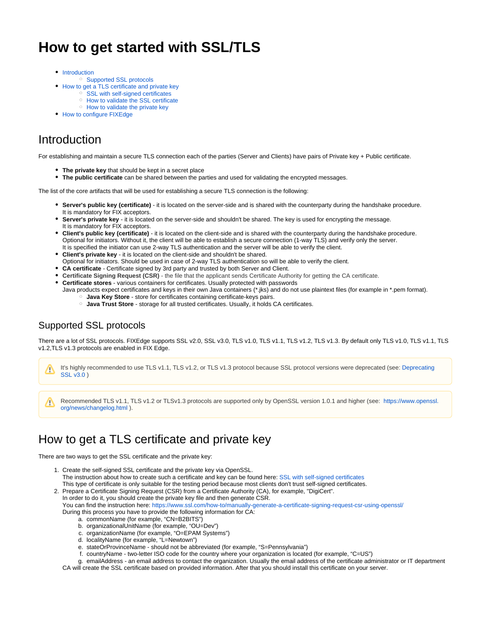# **How to get started with SSL/TLS**

- [Introduction](#page-0-0)
	- <sup>o</sup> [Supported SSL protocols](#page-0-1)
- [How to get a TLS certificate and private key](#page-0-2)
	- <sup>o</sup> [SSL with self-signed certificates](#page-1-0)
	- <sup>o</sup> [How to validate the SSL certificate](#page-1-1)
	- <sup>o</sup> [How to validate the private key](#page-2-0)
- [How to configure FIXEdge](#page-2-1)

# <span id="page-0-0"></span>Introduction

For establishing and maintain a secure TLS connection each of the parties (Server and Clients) have pairs of Private key + Public certificate.

- **The private key** that should be kept in a secret place
- **The public certificate** can be shared between the parties and used for validating the encrypted messages.

The list of the core artifacts that will be used for establishing a secure TLS connection is the following:

- **Server's public key (certificate)** it is located on the server-side and is shared with the counterparty during the handshake procedure. It is mandatory for FIX acceptors.
- **Server's private key** it is located on the server-side and shouldn't be shared. The key is used for encrypting the message. It is mandatory for FIX acceptors.
- **Client's public key (certificate)** it is located on the client-side and is shared with the counterparty during the handshake procedure. Optional for initiators. Without it, the client will be able to establish a secure connection (1-way TLS) and verify only the server. It is specified the initiator can use 2-way TLS authentication and the server will be able to verify the client.
- **Client's private key** it is located on the client-side and shouldn't be shared.
- Optional for initiators. Should be used in case of 2-way TLS authentication so will be able to verify the client.
- **CA certificate** Certificate signed by 3rd party and trusted by both Server and Client.
- **Certificate Signing Request (CSR)** the file that the applicant sends Certificate Authority for getting the CA certificate.
- **Certificate stores** various containers for certificates. Usually protected with passwords Java products expect certificates and keys in their own Java containers (\*.jks) and do not use plaintext files (for example in \*.pem format).
	- **Java Key Store** store for certificates containing certificate-keys pairs.
		- **Java Trust Store** storage for all trusted certificates. Usually, it holds CA certificates.

## <span id="page-0-1"></span>Supported SSL protocols

There are a lot of SSL protocols. FIXEdge supports SSL v2.0, SSL v3.0, TLS v1.0, TLS v1.1, TLS v1.2, TLS v1.3. By default only TLS v1.0, TLS v1.1, TLS v1.2,TLS v1.3 protocols are enabled in FIX Edge.

It's highly recommended to use TLS v1.1, TLS v1.2, or TLS v1.3 protocol because SSL protocol versions were deprecated (see: [Deprecating](https://tools.ietf.org/html/rfc7568)  Λ [SSL v3.0](https://tools.ietf.org/html/rfc7568) )

Recommended TLS v1.1, TLS v1.2 or TLSv1.3 protocols are supported only by OpenSSL version 1.0.1 and higher (see: [https://www.openssl.](https://www.openssl.org/news/changelog.html) [org/news/changelog.html](https://www.openssl.org/news/changelog.html) ).

# <span id="page-0-2"></span>How to get a TLS certificate and private key

There are two ways to get the SSL certificate and the private key:

- 1. Create the self-signed SSL certificate and the private key via OpenSSL. The instruction about how to create such a certificate and key can be found here: [SSL with self-signed certificates](https://kb.b2bits.com/display/EPMBFIXA/SSL+with+self-signed+certificates) This type of certificate is only suitable for the testing period because most clients don't trust self-signed certificates.
- 2. Prepare a Certificate Signing Request (CSR) from a Certificate Authority (CA), for example, "DigiCert". In order to do it, you should create the private key file and then generate CSR.
	-

You can find the instruction here: <https://www.ssl.com/how-to/manually-generate-a-certificate-signing-request-csr-using-openssl/> During this process you have to provide the following information for CA:

- a. commonName (for example, "CN=B2BITS")
- b. organizationalUnitName (for example, "OU=Dev")
- c. organizationName (for example, "O=EPAM Systems")
- d. localityName (for example, "L=Newtown")
- e. stateOrProvinceName should not be abbreviated (for example, "S=Pennsylvania")
- f. countryName two-letter ISO code for the country where your organization is located (for example, "C=US")
- g. emailAddress an email address to contact the organization. Usually the email address of the certificate administrator or IT department

CA will create the SSL certificate based on provided information. After that you should install this certificate on your server.

Λ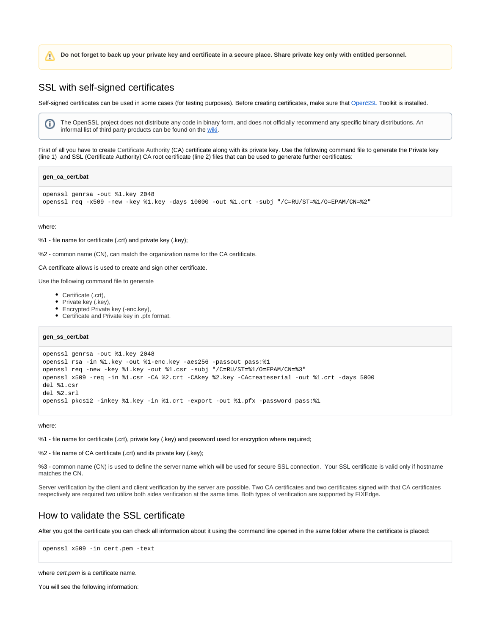**Do not forget to back up your private key and certificate in a secure place. Share private key only with entitled personnel.**

### <span id="page-1-0"></span>SSL with self-signed certificates

Self-signed certificates can be used in some cases (for testing purposes). Before creating certificates, make sure that [OpenSSL](https://www.openssl.org/) Toolkit is installed.

The OpenSSL project does not distribute any code in binary form, and does not officially recommend any specific binary distributions. An informal list of third party products can be found on the [wiki](https://wiki.openssl.org/index.php/Binaries).

First of all you have to create Certificate Authority (CA) certificate along with its private key. Use the following command file to generate the Private key (line 1) and SSL (Certificate Authority) CA root certificate (line 2) files that can be used to generate further certificates:

#### **gen\_ca\_cert.bat**

```
openssl genrsa -out %1.key 2048
openssl req -x509 -new -key %1.key -days 10000 -out %1.crt -subj "/C=RU/ST=%1/O=EPAM/CN=%2"
```
#### where:

Λ

(i)

#### %1 - file name for certificate (.crt) and private key (.key);

%2 - common name (CN), can match the organization name for the CA certificate.

#### CA certificate allows is used to create and sign other certificate.

Use the following command file to generate

- Certificate (.crt),
- Private key (.key),
- Encrypted Private key (-enc.key),
- Certificate and Private key in .pfx format.

**gen\_ss\_cert.bat**

```
openssl genrsa -out %1.key 2048
openssl rsa -in %1.key -out %1-enc.key -aes256 -passout pass:%1
openssl req -new -key %1.key -out %1.csr -subj "/C=RU/ST=%1/O=EPAM/CN=%3"
openssl x509 -req -in %1.csr -CA %2.crt -CAkey %2.key -CAcreateserial -out %1.crt -days 5000
del %1.csr
del %2.srl
openssl pkcs12 -inkey %1.key -in %1.crt -export -out %1.pfx -password pass:%1
```
#### where:

%1 - file name for certificate (.crt), private key (.key) and password used for encryption where required;

%2 - file name of CA certificate (.crt) and its private key (.key);

%3 - common name (CN) is used to define the server name which will be used for secure SSL connection. Your SSL certificate is valid only if hostname matches the CN.

Server verification by the client and client verification by the server are possible. Two CA certificates and two certificates signed with that CA certificates respectively are required two utilize both sides verification at the same time. Both types of verification are supported by FIXEdge.

## <span id="page-1-1"></span>How to validate the SSL certificate

After you got the certificate you can check all information about it using the command line opened in the same folder where the certificate is placed:

```
openssl x509 -in cert.pem -text
```
where cert.pem is a certificate name.

You will see the following information: